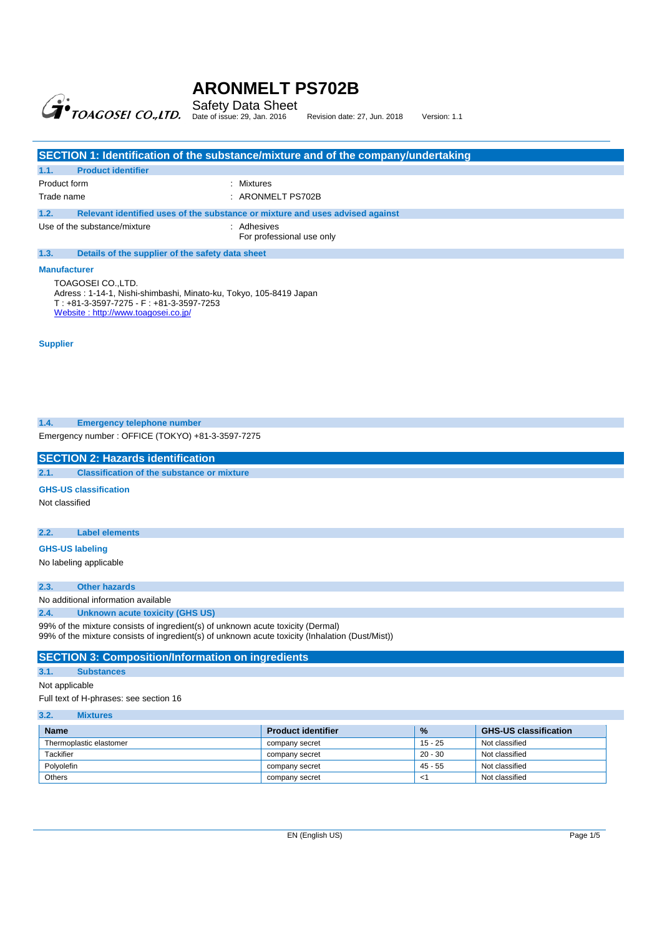

## Safety Data Sheet<br>Date of issue: 29, Jan. 2016 Revision date: 27, Jun. 2018 Version: 1.1

|                                                          | SECTION 1: Identification of the substance/mixture and of the company/undertaking |  |
|----------------------------------------------------------|-----------------------------------------------------------------------------------|--|
| <b>Product identifier</b><br>1.1.                        |                                                                                   |  |
| Product form                                             | : Mixtures                                                                        |  |
| Trade name                                               | $:$ ARONMELT PS702B                                                               |  |
| 1.2.                                                     | Relevant identified uses of the substance or mixture and uses advised against     |  |
| Use of the substance/mixture                             | : Adhesives<br>For professional use only                                          |  |
| 1.3.<br>Details of the supplier of the safety data sheet |                                                                                   |  |
| <b>Manufacturer</b>                                      |                                                                                   |  |

TOAGOSEI CO.,LTD. Adress : 1-14-1, Nishi-shimbashi, Minato-ku, Tokyo, 105-8419 Japan T : +81-3-3597-7275 - F : +81-3-3597-7253 Website : http://www.toagosei.co.jp/

**Supplier** 

#### **1.4. Emergency telephone number**

Emergency number : OFFICE (TOKYO) +81-3-3597-7275

**SECTION 2: Hazards identification** 

**2.1. Classification of the substance or mixture** 

#### **GHS-US classification**

Not classified

#### **2.2. Label elements**

**GHS-US labeling** 

No labeling applicable

#### **2.3. Other hazards**

No additional information available **2.4. Unknown acute toxicity (GHS US)** 

99% of the mixture consists of ingredient(s) of unknown acute toxicity (Dermal)

99% of the mixture consists of ingredient(s) of unknown acute toxicity (Inhalation (Dust/Mist))

#### **SECTION 3: Composition/Information on ingredients**

### **3.1. Substances**

Not applicable

Full text of H-phrases: see section 16

#### **3.2. Mixtures**

| <b>Name</b>             | <b>Product identifier</b> | $\frac{9}{6}$ | <b>GHS-US classification</b> |
|-------------------------|---------------------------|---------------|------------------------------|
| Thermoplastic elastomer | company secret            | 15 - 25       | Not classified               |
| Tackifier               | company secret            | $20 - 30$     | Not classified               |
| Polyolefin              | company secret            | $45 - 55$     | Not classified               |
| <b>Others</b>           | company secret            | ≺             | Not classified               |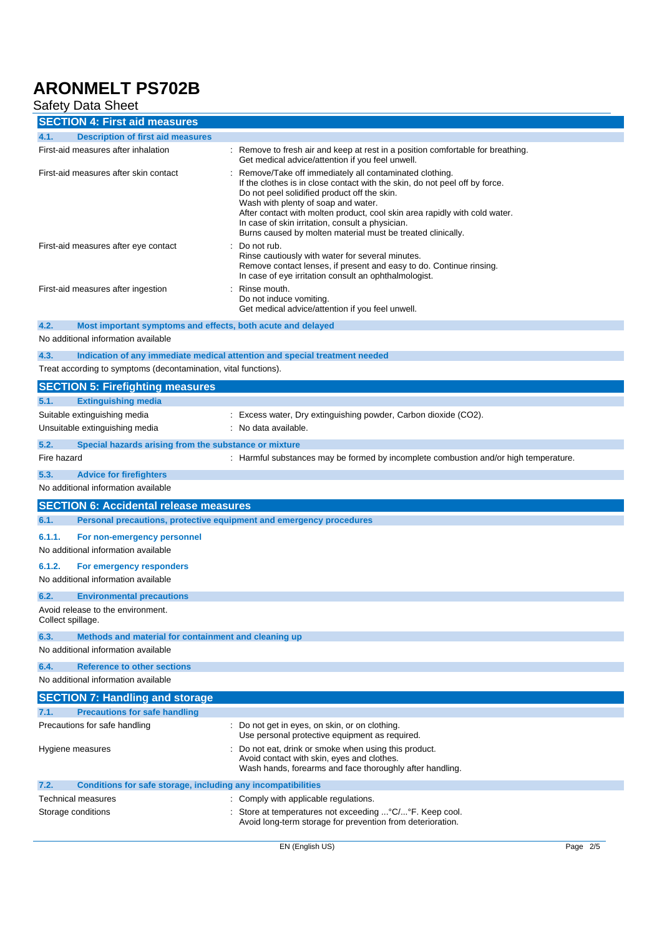## **Safety Data Sheet**

| <b>SECTION 4: First aid measures</b>                                                                                                                                                                                                                                                                                                                                                                                                                                   |                                                                                                                                                                                                 |  |  |
|------------------------------------------------------------------------------------------------------------------------------------------------------------------------------------------------------------------------------------------------------------------------------------------------------------------------------------------------------------------------------------------------------------------------------------------------------------------------|-------------------------------------------------------------------------------------------------------------------------------------------------------------------------------------------------|--|--|
| 4.1.<br><b>Description of first aid measures</b>                                                                                                                                                                                                                                                                                                                                                                                                                       |                                                                                                                                                                                                 |  |  |
| First-aid measures after inhalation                                                                                                                                                                                                                                                                                                                                                                                                                                    | : Remove to fresh air and keep at rest in a position comfortable for breathing.<br>Get medical advice/attention if you feel unwell.                                                             |  |  |
| First-aid measures after skin contact<br>Remove/Take off immediately all contaminated clothing.<br>If the clothes is in close contact with the skin, do not peel off by force.<br>Do not peel solidified product off the skin.<br>Wash with plenty of soap and water.<br>After contact with molten product, cool skin area rapidly with cold water.<br>In case of skin irritation, consult a physician.<br>Burns caused by molten material must be treated clinically. |                                                                                                                                                                                                 |  |  |
| First-aid measures after eye contact                                                                                                                                                                                                                                                                                                                                                                                                                                   | Do not rub.<br>Rinse cautiously with water for several minutes.<br>Remove contact lenses, if present and easy to do. Continue rinsing.<br>In case of eye irritation consult an ophthalmologist. |  |  |
| First-aid measures after ingestion                                                                                                                                                                                                                                                                                                                                                                                                                                     | : Rinse mouth.<br>Do not induce vomiting.<br>Get medical advice/attention if you feel unwell.                                                                                                   |  |  |
| 4.2.<br>Most important symptoms and effects, both acute and delayed                                                                                                                                                                                                                                                                                                                                                                                                    |                                                                                                                                                                                                 |  |  |
| No additional information available                                                                                                                                                                                                                                                                                                                                                                                                                                    |                                                                                                                                                                                                 |  |  |
| 4.3.<br>Indication of any immediate medical attention and special treatment needed                                                                                                                                                                                                                                                                                                                                                                                     |                                                                                                                                                                                                 |  |  |
| Treat according to symptoms (decontamination, vital functions).                                                                                                                                                                                                                                                                                                                                                                                                        |                                                                                                                                                                                                 |  |  |
| <b>SECTION 5: Firefighting measures</b>                                                                                                                                                                                                                                                                                                                                                                                                                                |                                                                                                                                                                                                 |  |  |
| 5.1.<br><b>Extinguishing media</b>                                                                                                                                                                                                                                                                                                                                                                                                                                     |                                                                                                                                                                                                 |  |  |
| Suitable extinguishing media                                                                                                                                                                                                                                                                                                                                                                                                                                           | : Excess water, Dry extinguishing powder, Carbon dioxide (CO2).                                                                                                                                 |  |  |
| Unsuitable extinguishing media                                                                                                                                                                                                                                                                                                                                                                                                                                         | : No data available.                                                                                                                                                                            |  |  |
| 5.2.<br>Special hazards arising from the substance or mixture                                                                                                                                                                                                                                                                                                                                                                                                          |                                                                                                                                                                                                 |  |  |
| Fire hazard                                                                                                                                                                                                                                                                                                                                                                                                                                                            | : Harmful substances may be formed by incomplete combustion and/or high temperature.                                                                                                            |  |  |
|                                                                                                                                                                                                                                                                                                                                                                                                                                                                        |                                                                                                                                                                                                 |  |  |
| 5.3.<br><b>Advice for firefighters</b><br>No additional information available                                                                                                                                                                                                                                                                                                                                                                                          |                                                                                                                                                                                                 |  |  |
|                                                                                                                                                                                                                                                                                                                                                                                                                                                                        |                                                                                                                                                                                                 |  |  |
| <b>SECTION 6: Accidental release measures</b>                                                                                                                                                                                                                                                                                                                                                                                                                          |                                                                                                                                                                                                 |  |  |
| 6.1.<br>Personal precautions, protective equipment and emergency procedures                                                                                                                                                                                                                                                                                                                                                                                            |                                                                                                                                                                                                 |  |  |
| 6.1.1.<br>For non-emergency personnel                                                                                                                                                                                                                                                                                                                                                                                                                                  |                                                                                                                                                                                                 |  |  |
| No additional information available                                                                                                                                                                                                                                                                                                                                                                                                                                    |                                                                                                                                                                                                 |  |  |
| 6.1.2.<br>For emergency responders                                                                                                                                                                                                                                                                                                                                                                                                                                     |                                                                                                                                                                                                 |  |  |
| No additional information available                                                                                                                                                                                                                                                                                                                                                                                                                                    |                                                                                                                                                                                                 |  |  |
| 6.2.<br><b>Environmental precautions</b>                                                                                                                                                                                                                                                                                                                                                                                                                               |                                                                                                                                                                                                 |  |  |
| Avoid release to the environment.<br>Collect spillage.                                                                                                                                                                                                                                                                                                                                                                                                                 |                                                                                                                                                                                                 |  |  |
| 6.3.<br>Methods and material for containment and cleaning up                                                                                                                                                                                                                                                                                                                                                                                                           |                                                                                                                                                                                                 |  |  |
| No additional information available                                                                                                                                                                                                                                                                                                                                                                                                                                    |                                                                                                                                                                                                 |  |  |
| 6.4.<br><b>Reference to other sections</b>                                                                                                                                                                                                                                                                                                                                                                                                                             |                                                                                                                                                                                                 |  |  |
| No additional information available                                                                                                                                                                                                                                                                                                                                                                                                                                    |                                                                                                                                                                                                 |  |  |
| <b>SECTION 7: Handling and storage</b>                                                                                                                                                                                                                                                                                                                                                                                                                                 |                                                                                                                                                                                                 |  |  |
| <b>Precautions for safe handling</b><br>7.1.                                                                                                                                                                                                                                                                                                                                                                                                                           |                                                                                                                                                                                                 |  |  |
| Precautions for safe handling                                                                                                                                                                                                                                                                                                                                                                                                                                          | : Do not get in eyes, on skin, or on clothing.<br>Use personal protective equipment as required.                                                                                                |  |  |
| Hygiene measures                                                                                                                                                                                                                                                                                                                                                                                                                                                       | Do not eat, drink or smoke when using this product.<br>Avoid contact with skin, eyes and clothes.<br>Wash hands, forearms and face thoroughly after handling.                                   |  |  |
| Conditions for safe storage, including any incompatibilities<br>7.2.                                                                                                                                                                                                                                                                                                                                                                                                   |                                                                                                                                                                                                 |  |  |
| Technical measures                                                                                                                                                                                                                                                                                                                                                                                                                                                     | : Comply with applicable regulations.                                                                                                                                                           |  |  |
| Storage conditions                                                                                                                                                                                                                                                                                                                                                                                                                                                     | : Store at temperatures not exceeding  °C/ °F. Keep cool.<br>Avoid long-term storage for prevention from deterioration.                                                                         |  |  |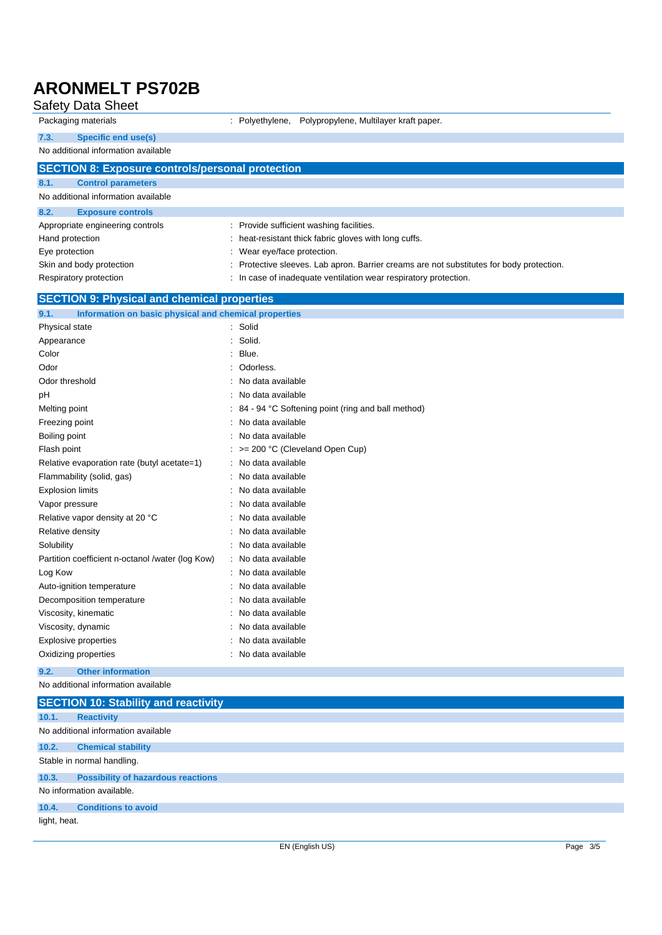| <b>Safety Data Sheet</b>                                      |                                                                                        |
|---------------------------------------------------------------|----------------------------------------------------------------------------------------|
| Packaging materials                                           | : Polyethylene,<br>Polypropylene, Multilayer kraft paper.                              |
| 7.3.<br><b>Specific end use(s)</b>                            |                                                                                        |
| No additional information available                           |                                                                                        |
| <b>SECTION 8: Exposure controls/personal protection</b>       |                                                                                        |
| 8.1.<br><b>Control parameters</b>                             |                                                                                        |
| No additional information available                           |                                                                                        |
| 8.2.<br><b>Exposure controls</b>                              |                                                                                        |
| Appropriate engineering controls                              | : Provide sufficient washing facilities.                                               |
| Hand protection                                               | heat-resistant thick fabric gloves with long cuffs.                                    |
| Eye protection                                                | Wear eye/face protection.                                                              |
| Skin and body protection                                      | Protective sleeves. Lab apron. Barrier creams are not substitutes for body protection. |
| Respiratory protection                                        | : In case of inadequate ventilation wear respiratory protection.                       |
| <b>SECTION 9: Physical and chemical properties</b>            |                                                                                        |
| 9.1.<br>Information on basic physical and chemical properties |                                                                                        |
| Physical state                                                | Solid                                                                                  |
| Appearance                                                    | Solid.<br>÷                                                                            |
| Color                                                         | Blue.                                                                                  |
| Odor                                                          | Odorless.                                                                              |
| Odor threshold                                                | No data available                                                                      |
| рH                                                            | No data available                                                                      |
| Melting point                                                 | 84 - 94 °C Softening point (ring and ball method)                                      |
| Freezing point                                                | No data available                                                                      |
| Boiling point                                                 | No data available                                                                      |
| Flash point                                                   | >= 200 °C (Cleveland Open Cup)                                                         |
| Relative evaporation rate (butyl acetate=1)                   | No data available                                                                      |
| Flammability (solid, gas)                                     | No data available                                                                      |
| <b>Explosion limits</b>                                       | No data available                                                                      |
| Vapor pressure                                                | No data available                                                                      |
| Relative vapor density at 20 °C                               | No data available                                                                      |
| Relative density                                              | No data available                                                                      |
| Solubility                                                    | No data available                                                                      |
| Partition coefficient n-octanol /water (log Kow)              | : No data available                                                                    |
| Log Kow                                                       | No data available                                                                      |
| Auto-ignition temperature                                     | : No data available                                                                    |
| Decomposition temperature                                     | No data available                                                                      |
| Viscosity, kinematic                                          | No data available                                                                      |
| Viscosity, dynamic                                            | No data available                                                                      |
| <b>Explosive properties</b>                                   | No data available                                                                      |
| Oxidizing properties                                          | No data available                                                                      |
| <b>Other information</b><br>9.2.                              |                                                                                        |
| No additional information available                           |                                                                                        |

|              | <b>SECTION 10: Stability and reactivity</b> |          |
|--------------|---------------------------------------------|----------|
| 10.1.        | <b>Reactivity</b>                           |          |
|              | No additional information available         |          |
| 10.2.        | <b>Chemical stability</b>                   |          |
|              | Stable in normal handling.                  |          |
| 10.3.        | <b>Possibility of hazardous reactions</b>   |          |
|              | No information available.                   |          |
| 10.4.        | <b>Conditions to avoid</b>                  |          |
| light, heat. |                                             |          |
|              | EN (English US)                             | Page 3/5 |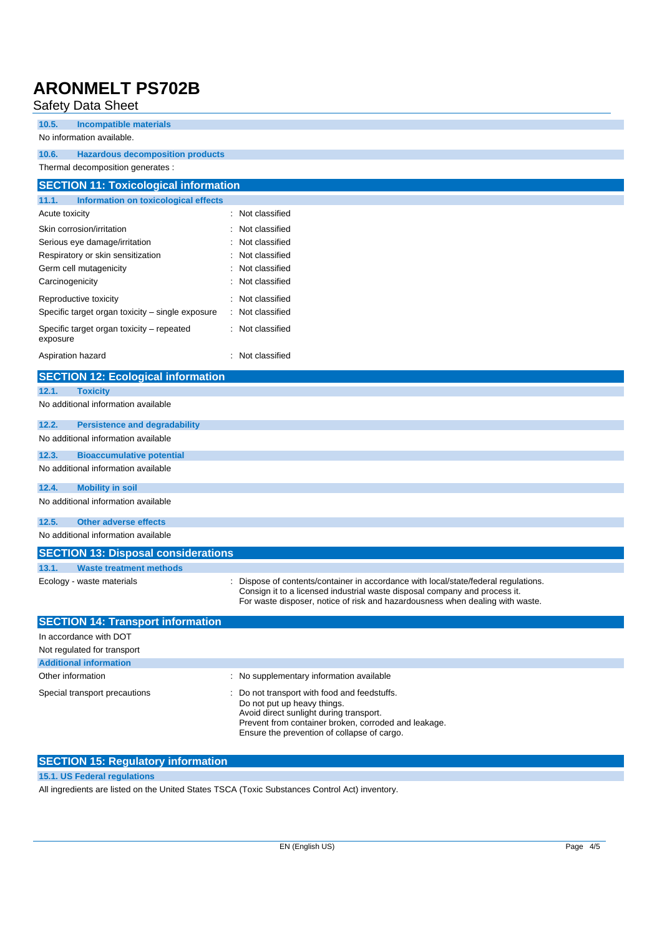### Safety Data Sheet

| oaioty<br><b>Data Origin</b>                          |                                                                                                                                                                                                                                                    |
|-------------------------------------------------------|----------------------------------------------------------------------------------------------------------------------------------------------------------------------------------------------------------------------------------------------------|
| 10.5.<br><b>Incompatible materials</b>                |                                                                                                                                                                                                                                                    |
| No information available.                             |                                                                                                                                                                                                                                                    |
| 10.6.<br><b>Hazardous decomposition products</b>      |                                                                                                                                                                                                                                                    |
| Thermal decomposition generates :                     |                                                                                                                                                                                                                                                    |
| <b>SECTION 11: Toxicological information</b>          |                                                                                                                                                                                                                                                    |
| 11.1.<br>Information on toxicological effects         |                                                                                                                                                                                                                                                    |
| Acute toxicity                                        | Not classified                                                                                                                                                                                                                                     |
| Skin corrosion/irritation                             | Not classified                                                                                                                                                                                                                                     |
| Serious eye damage/irritation                         | Not classified                                                                                                                                                                                                                                     |
| Respiratory or skin sensitization                     | Not classified                                                                                                                                                                                                                                     |
| Germ cell mutagenicity                                | Not classified                                                                                                                                                                                                                                     |
| Carcinogenicity                                       | Not classified                                                                                                                                                                                                                                     |
| Reproductive toxicity                                 | : Not classified                                                                                                                                                                                                                                   |
| Specific target organ toxicity - single exposure      | : Not classified                                                                                                                                                                                                                                   |
| Specific target organ toxicity - repeated<br>exposure | : Not classified                                                                                                                                                                                                                                   |
| Aspiration hazard                                     | : Not classified                                                                                                                                                                                                                                   |
| <b>SECTION 12: Ecological information</b>             |                                                                                                                                                                                                                                                    |
| 12.1.<br><b>Toxicity</b>                              |                                                                                                                                                                                                                                                    |
| No additional information available                   |                                                                                                                                                                                                                                                    |
| 12.2.<br><b>Persistence and degradability</b>         |                                                                                                                                                                                                                                                    |
| No additional information available                   |                                                                                                                                                                                                                                                    |
| 12.3.<br><b>Bioaccumulative potential</b>             |                                                                                                                                                                                                                                                    |
| No additional information available                   |                                                                                                                                                                                                                                                    |
| 12.4.<br><b>Mobility in soil</b>                      |                                                                                                                                                                                                                                                    |
| No additional information available                   |                                                                                                                                                                                                                                                    |
| 12.5.<br><b>Other adverse effects</b>                 |                                                                                                                                                                                                                                                    |
| No additional information available                   |                                                                                                                                                                                                                                                    |
| <b>SECTION 13: Disposal considerations</b>            |                                                                                                                                                                                                                                                    |
| 13.1.<br><b>Waste treatment methods</b>               |                                                                                                                                                                                                                                                    |
| Ecology - waste materials                             | : Dispose of contents/container in accordance with local/state/federal regulations.<br>Consign it to a licensed industrial waste disposal company and process it.<br>For waste disposer, notice of risk and hazardousness when dealing with waste. |
| <b>SECTION 14: Transport information</b>              |                                                                                                                                                                                                                                                    |
| In accordance with DOT                                |                                                                                                                                                                                                                                                    |
| Not regulated for transport                           |                                                                                                                                                                                                                                                    |
| <b>Additional information</b>                         |                                                                                                                                                                                                                                                    |
| Other information                                     | : No supplementary information available                                                                                                                                                                                                           |
| Special transport precautions                         | Do not transport with food and feedstuffs.<br>Do not put up heavy things.<br>Avoid direct sunlight during transport.<br>Prevent from container broken, corroded and leakage.<br>Ensure the prevention of collapse of cargo.                        |

| <b>SECTION 15: Regulatory information</b> |  |
|-------------------------------------------|--|
| 15.1. US Federal regulations              |  |

All ingredients are listed on the United States TSCA (Toxic Substances Control Act) inventory.